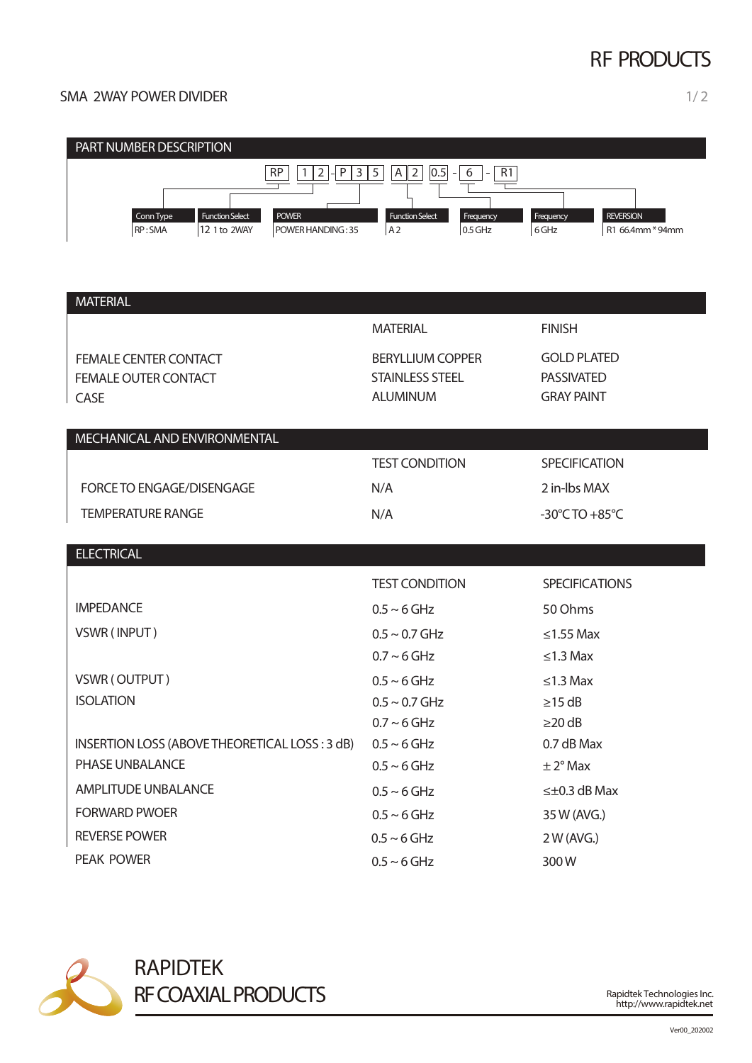# RF PRODUCTS

### SMA 2WAY POWER DIVIDER 1/2



| <b>MATERIAL</b>                                                     |                                                                      |                                                              |
|---------------------------------------------------------------------|----------------------------------------------------------------------|--------------------------------------------------------------|
|                                                                     | <b>MATERIAL</b>                                                      | <b>FINISH</b>                                                |
| <b>FEMALE CENTER CONTACT</b><br><b>FEMALE OUTER CONTACT</b><br>CASE | <b>BERYLLIUM COPPER</b><br><b>STAINLESS STEEL</b><br><b>ALUMINUM</b> | <b>GOLD PLATED</b><br><b>PASSIVATED</b><br><b>GRAY PAINT</b> |
| MECHANICAL AND ENVIRONMENTAL                                        |                                                                      |                                                              |
|                                                                     | <b>TEST CONDITION</b>                                                | <b>SPECIFICATION</b>                                         |
| FORCE TO ENGAGE/DISENGAGE                                           | N/A                                                                  | 2 in-lbs MAX                                                 |
| <b>TEMPERATURE RANGE</b>                                            | N/A                                                                  | $-30^{\circ}$ CTO $+85^{\circ}$ C                            |
|                                                                     |                                                                      |                                                              |
| <b>ELECTRICAL</b>                                                   |                                                                      |                                                              |
|                                                                     | <b>TEST CONDITION</b>                                                | <b>SPECIFICATIONS</b>                                        |
| <b>IMPEDANCE</b>                                                    | $0.5 \sim 6$ GHz                                                     | 50 Ohms                                                      |
| VSWR (INPUT)                                                        | $0.5 \sim 0.7$ GHz                                                   | $\leq$ 1.55 Max                                              |
|                                                                     | $0.7 \sim 6$ GHz                                                     | $\leq$ 1.3 Max                                               |
| VSWR (OUTPUT)                                                       | $0.5 \sim 6$ GHz                                                     | $\leq$ 1.3 Max                                               |
| <b>ISOLATION</b>                                                    | $0.5 \sim 0.7$ GHz                                                   | $\geq$ 15 dB                                                 |
|                                                                     | $0.7 \sim 6$ GHz                                                     | $\geq$ 20 dB                                                 |
| INSERTION LOSS (ABOVE THEORETICAL LOSS: 3 dB)                       | $0.5 \sim 6$ GHz                                                     | 0.7 dB Max                                                   |
| PHASE UNBALANCE                                                     | $0.5 \sim 6$ GHz                                                     | $\pm 2^{\circ}$ Max                                          |
| <b>AMPLITUDE UNBALANCE</b>                                          | $0.5 \sim 6$ GHz                                                     | $\leq \pm 0.3$ dB Max                                        |
| <b>FORWARD PWOER</b>                                                | $0.5 \sim 6$ GHz                                                     | 35 W (AVG.)                                                  |
| <b>REVERSE POWER</b>                                                | $0.5 \sim 6$ GHz                                                     | 2 W (AVG.)                                                   |
| <b>PEAK POWER</b>                                                   | $0.5 \sim 6$ GHz                                                     | 300W                                                         |



RAPIDTEK RF COAXIAL PRODUCTS

Rapidtek Technologies Inc. http://www.rapidtek.net